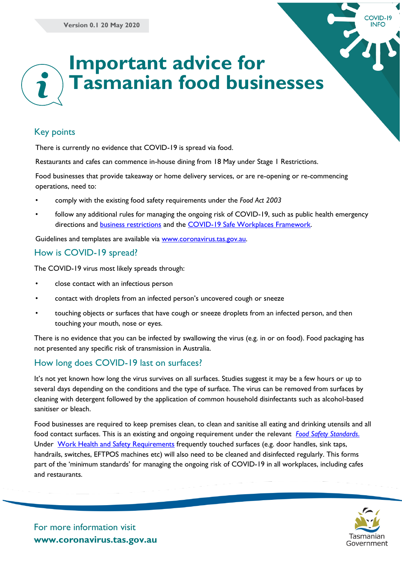

## Key points

There is currently no evidence that COVID-19 is spread via food.

Restaurants and cafes can commence in-house dining from 18 May under Stage 1 Restrictions.

Food businesses that provide takeaway or home delivery services, or are re-opening or re-commencing operations, need to:

- comply with the existing food safety requirements under the *Food Act 2003*
- follow any additional rules for managing the ongoing risk of COVID-19, such as public health emergency directions and **business restrictions** and the **COVID-19 Safe Workplaces Framework**.

Guidelines and templates are available via [www.coronavirus.tas.gov.au.](http://www.coronavirus.tas.gov.au/)

### How is COVID-19 spread?

The COVID-19 virus most likely spreads through:

- close contact with an infectious person
- contact with droplets from an infected person's uncovered cough or sneeze
- touching objects or surfaces that have cough or sneeze droplets from an infected person, and then touching your mouth, nose or eyes.

There is no evidence that you can be infected by swallowing the virus (e.g. in or on food). Food packaging has not presented any specific risk of transmission in Australia.

## How long does COVID-19 last on surfaces?

It's not yet known how long the virus survives on all surfaces. Studies suggest it may be a few hours or up to several days depending on the conditions and the type of surface. The virus can be removed from surfaces by cleaning with detergent followed by the application of common household disinfectants such as alcohol-based sanitiser or bleach.

Food businesses are required to keep premises clean, to clean and sanitise all eating and drinking utensils and all food contact surfaces. This is an existing and ongoing requirement under the relevant *[Food Safety Standards](https://www.foodstandards.gov.au/industry/safetystandards/Pages/default.aspx)*. Under [Work Health and Safety Requirements](https://www.worksafe.tas.gov.au/__data/assets/pdf_file/0003/567723/CHECKLIST-How-to-keep-your-workers-safe-and-limit-the-spread-of-COVID-19.pdf) frequently touched surfaces (e.g. door handles, sink taps, handrails, switches, EFTPOS machines etc) will also need to be cleaned and disinfected regularly. This forms part of the 'minimum standards' for managing the ongoing risk of COVID-19 in all workplaces, including cafes and restaurants.



COVID-19 **INFO**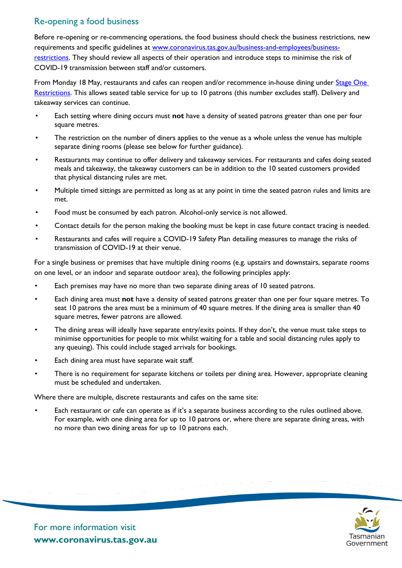# Re-opening a food business

Before re-opening or re-commencing operations, the food business should check the business restrictions, new requirements and specific guidelines at [www.coronavirus.tas.gov.au/business-and-employees/business](file:///C:/Users/bfenneywalch/AppData/Local/Microsoft/Windows/INetCache/Content.Outlook/7AB7L613/www.coronavirus.tas.gov.au/business-and-employees/business-restrictions)[restrictions.](file:///C:/Users/bfenneywalch/AppData/Local/Microsoft/Windows/INetCache/Content.Outlook/7AB7L613/www.coronavirus.tas.gov.au/business-and-employees/business-restrictions) They should review all aspects of their operation and introduce steps to minimise the risk of COVID-19 transmission between staff and/or customers.

From Monday 18 May, restaurants and cafes can reopen and/or recommence in-house dining under Stage One [Restrictions.](https://coronavirus.tas.gov.au/business-and-employees/business-restrictions) This allows seated table service for up to 10 patrons (this number excludes staff). Delivery and takeaway services can continue.

- Each setting where dining occurs must **not** have a density of seated patrons greater than one per four square metres.
- The restriction on the number of diners applies to the venue as a whole unless the venue has multiple separate dining rooms (please see below for further guidance).
- Restaurants may continue to offer delivery and takeaway services. For restaurants and cafes doing seated meals and takeaway, the takeaway customers can be in addition to the 10 seated customers provided that physical distancing rules are met.
- Multiple timed sittings are permitted as long as at any point in time the seated patron rules and limits are met.
- Food must be consumed by each patron. Alcohol-only service is not allowed.
- Contact details for the person making the booking must be kept in case future contact tracing is needed.
- Restaurants and cafes will require a COVID-19 Safety Plan detailing measures to manage the risks of transmission of COVID-19 at their venue.

For a single business or premises that have multiple dining rooms (e.g. upstairs and downstairs, separate rooms on one level, or an indoor and separate outdoor area), the following principles apply:

- Each premises may have no more than two separate dining areas of 10 seated patrons.
- Each dining area must **not** have a density of seated patrons greater than one per four square metres. To seat 10 patrons the area must be a minimum of 40 square metres. If the dining area is smaller than 40 square metres, fewer patrons are allowed.
- The dining areas will ideally have separate entry/exits points. If they don't, the venue must take steps to minimise opportunities for people to mix whilst waiting for a table and social distancing rules apply to any queuing). This could include staged arrivals for bookings.
- Each dining area must have separate wait staff.
- There is no requirement for separate kitchens or toilets per dining area. However, appropriate cleaning must be scheduled and undertaken.

Where there are multiple, discrete restaurants and cafes on the same site:

• Each restaurant or cafe can operate as if it's a separate business according to the rules outlined above. For example, with one dining area for up to 10 patrons or, where there are separate dining areas, with no more than two dining areas for up to 10 patrons each.